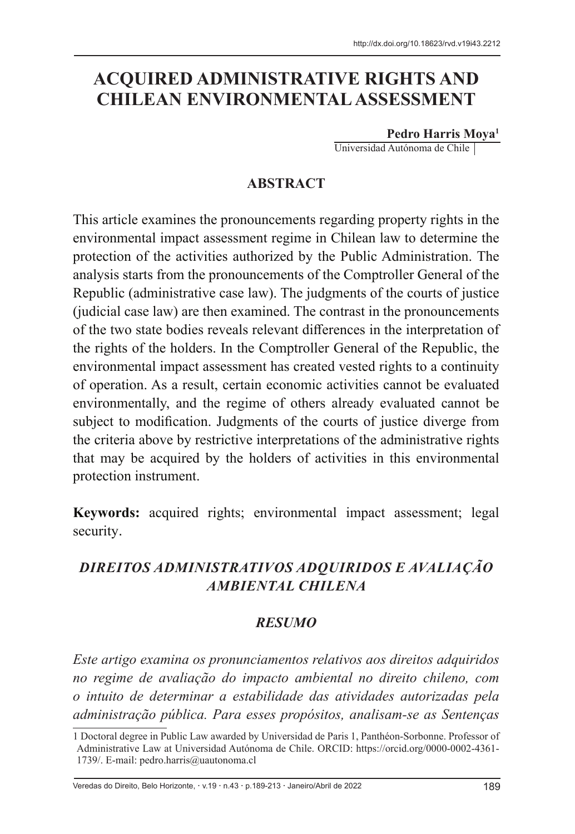# **ACQUIRED ADMINISTRATIVE RIGHTS AND CHILEAN ENVIRONMENTAL ASSESSMENT**

**Pedro Harris Moya1**

Universidad Autónoma de Chile

### **ABSTRACT**

This article examines the pronouncements regarding property rights in the environmental impact assessment regime in Chilean law to determine the protection of the activities authorized by the Public Administration. The analysis starts from the pronouncements of the Comptroller General of the Republic (administrative case law). The judgments of the courts of justice (judicial case law) are then examined. The contrast in the pronouncements of the two state bodies reveals relevant differences in the interpretation of the rights of the holders. In the Comptroller General of the Republic, the environmental impact assessment has created vested rights to a continuity of operation. As a result, certain economic activities cannot be evaluated environmentally, and the regime of others already evaluated cannot be subject to modification. Judgments of the courts of justice diverge from the criteria above by restrictive interpretations of the administrative rights that may be acquired by the holders of activities in this environmental protection instrument.

**Keywords:** acquired rights; environmental impact assessment; legal security.

# *DIREITOS ADMINISTRATIVOS ADQUIRIDOS E AVALIAÇÃO AMBIENTAL CHILENA*

### *RESUMO*

*Este artigo examina os pronunciamentos relativos aos direitos adquiridos no regime de avaliação do impacto ambiental no direito chileno, com o intuito de determinar a estabilidade das atividades autorizadas pela administração pública. Para esses propósitos, analisam-se as Sentenças* 

Veredas do Direito, Belo Horizonte, · v.19 · n.43 · p.189-213 · Janeiro/Abril de 2022 1899 1899

<sup>1</sup> Doctoral degree in Public Law awarded by Universidad de Paris 1, Panthéon-Sorbonne. Professor of Administrative Law at Universidad Autónoma de Chile. ORCID: https://orcid.org/0000-0002-4361- 1739/. E-mail: pedro.harris@uautonoma.cl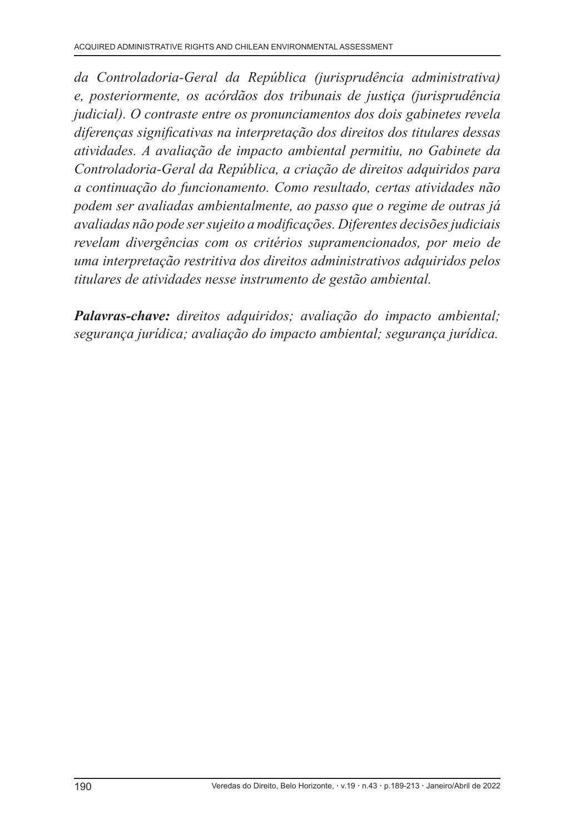*da Controladoria-Geral da República (jurisprudência administrativa) e, posteriormente, os acórdãos dos tribunais de justiça (jurisprudência judicial). O contraste entre os pronunciamentos dos dois gabinetes revela diferenças significativas na interpretação dos direitos dos titulares dessas atividades. A avaliação de impacto ambiental permitiu, no Gabinete da Controladoria-Geral da República, a criação de direitos adquiridos para a continuação do funcionamento. Como resultado, certas atividades não podem ser avaliadas ambientalmente, ao passo que o regime de outras já avaliadas não pode ser sujeito a modificações. Diferentes decisões judiciais revelam divergências com os critérios supramencionados, por meio de uma interpretação restritiva dos direitos administrativos adquiridos pelos titulares de atividades nesse instrumento de gestão ambiental.* 

*Palavras-chave: direitos adquiridos; avaliação do impacto ambiental; segurança jurídica; avaliação do impacto ambiental; segurança jurídica.*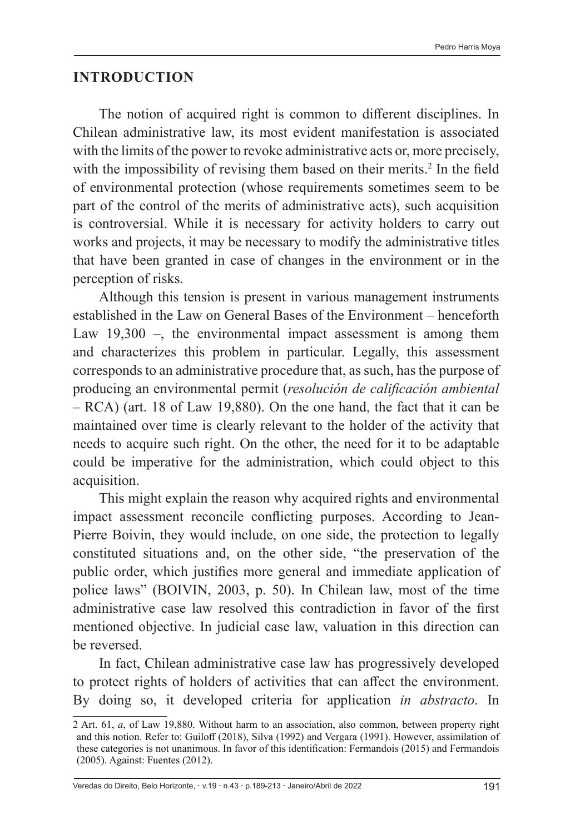#### **INTRODUCTION**

The notion of acquired right is common to different disciplines. In Chilean administrative law, its most evident manifestation is associated with the limits of the power to revoke administrative acts or, more precisely, with the impossibility of revising them based on their merits.<sup>2</sup> In the field of environmental protection (whose requirements sometimes seem to be part of the control of the merits of administrative acts), such acquisition is controversial. While it is necessary for activity holders to carry out works and projects, it may be necessary to modify the administrative titles that have been granted in case of changes in the environment or in the perception of risks.

Although this tension is present in various management instruments established in the Law on General Bases of the Environment – henceforth Law 19,300 –, the environmental impact assessment is among them and characterizes this problem in particular. Legally, this assessment corresponds to an administrative procedure that, as such, has the purpose of producing an environmental permit (*resolución de calificación ambiental*  – RCA) (art. 18 of Law 19,880). On the one hand, the fact that it can be maintained over time is clearly relevant to the holder of the activity that needs to acquire such right. On the other, the need for it to be adaptable could be imperative for the administration, which could object to this acquisition.

This might explain the reason why acquired rights and environmental impact assessment reconcile conflicting purposes. According to Jean-Pierre Boivin, they would include, on one side, the protection to legally constituted situations and, on the other side, "the preservation of the public order, which justifies more general and immediate application of police laws" (BOIVIN, 2003, p. 50). In Chilean law, most of the time administrative case law resolved this contradiction in favor of the first mentioned objective. In judicial case law, valuation in this direction can be reversed.

In fact, Chilean administrative case law has progressively developed to protect rights of holders of activities that can affect the environment. By doing so, it developed criteria for application *in abstracto*. In

Veredas do Direito, Belo Horizonte, · v.19 · n.43 · p.189-213 · Janeiro/Abril de 2022 191

<sup>2</sup> Art. 61, *a*, of Law 19,880. Without harm to an association, also common, between property right and this notion. Refer to: Guiloff (2018), Silva (1992) and Vergara (1991). However, assimilation of these categories is not unanimous. In favor of this identification: Fermandois (2015) and Fermandois (2005). Against: Fuentes (2012).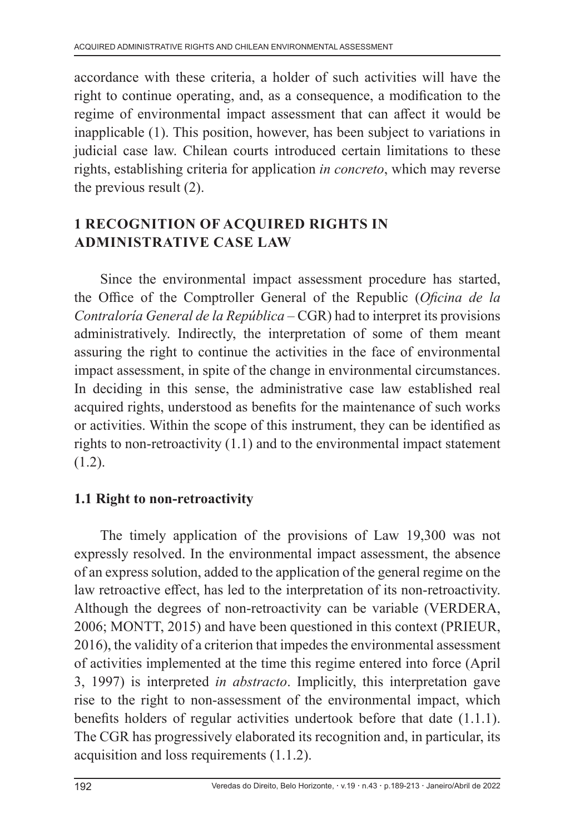accordance with these criteria, a holder of such activities will have the right to continue operating, and, as a consequence, a modification to the regime of environmental impact assessment that can affect it would be inapplicable (1). This position, however, has been subject to variations in judicial case law. Chilean courts introduced certain limitations to these rights, establishing criteria for application *in concreto*, which may reverse the previous result (2).

# **1 RECOGNITION OF ACQUIRED RIGHTS IN ADMINISTRATIVE CASE LAW**

Since the environmental impact assessment procedure has started, the Office of the Comptroller General of the Republic (*Oficina de la Contraloría General de la República –* CGR) had to interpret its provisions administratively. Indirectly, the interpretation of some of them meant assuring the right to continue the activities in the face of environmental impact assessment, in spite of the change in environmental circumstances. In deciding in this sense, the administrative case law established real acquired rights, understood as benefits for the maintenance of such works or activities. Within the scope of this instrument, they can be identified as rights to non-retroactivity (1.1) and to the environmental impact statement (1.2).

# **1.1 Right to non-retroactivity**

The timely application of the provisions of Law 19,300 was not expressly resolved. In the environmental impact assessment, the absence of an express solution, added to the application of the general regime on the law retroactive effect, has led to the interpretation of its non-retroactivity. Although the degrees of non-retroactivity can be variable (VERDERA, 2006; MONTT, 2015) and have been questioned in this context (PRIEUR, 2016), the validity of a criterion that impedes the environmental assessment of activities implemented at the time this regime entered into force (April 3, 1997) is interpreted *in abstracto*. Implicitly, this interpretation gave rise to the right to non-assessment of the environmental impact, which benefits holders of regular activities undertook before that date (1.1.1). The CGR has progressively elaborated its recognition and, in particular, its acquisition and loss requirements (1.1.2).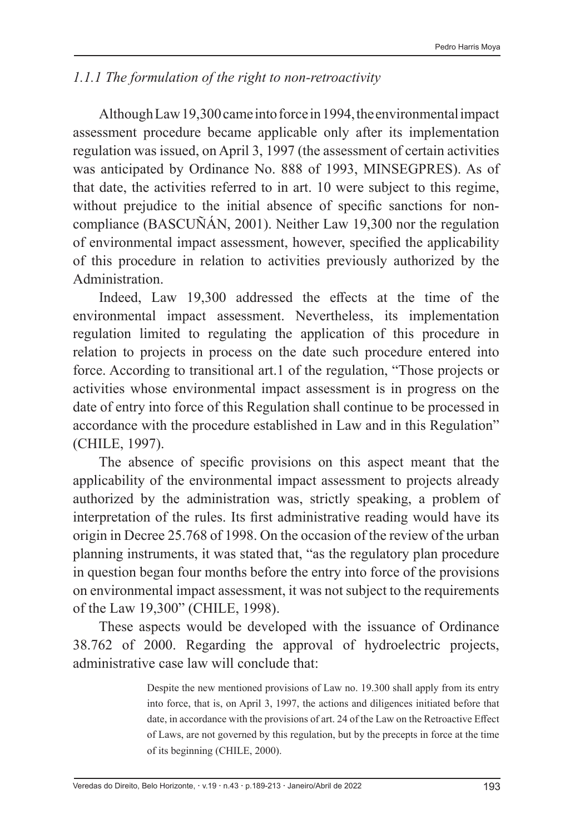### *1.1.1 The formulation of the right to non-retroactivity*

Although Law 19,300 came into force in 1994, the environmental impact assessment procedure became applicable only after its implementation regulation was issued, on April 3, 1997 (the assessment of certain activities was anticipated by Ordinance No. 888 of 1993, MINSEGPRES). As of that date, the activities referred to in art. 10 were subject to this regime, without prejudice to the initial absence of specific sanctions for noncompliance (BASCUÑÁN, 2001). Neither Law 19,300 nor the regulation of environmental impact assessment, however, specified the applicability of this procedure in relation to activities previously authorized by the Administration.

Indeed, Law 19,300 addressed the effects at the time of the environmental impact assessment. Nevertheless, its implementation regulation limited to regulating the application of this procedure in relation to projects in process on the date such procedure entered into force. According to transitional art.1 of the regulation, "Those projects or activities whose environmental impact assessment is in progress on the date of entry into force of this Regulation shall continue to be processed in accordance with the procedure established in Law and in this Regulation" (CHILE, 1997).

The absence of specific provisions on this aspect meant that the applicability of the environmental impact assessment to projects already authorized by the administration was, strictly speaking, a problem of interpretation of the rules. Its first administrative reading would have its origin in Decree 25.768 of 1998. On the occasion of the review of the urban planning instruments, it was stated that, "as the regulatory plan procedure in question began four months before the entry into force of the provisions on environmental impact assessment, it was not subject to the requirements of the Law 19,300" (CHILE, 1998).

These aspects would be developed with the issuance of Ordinance 38.762 of 2000. Regarding the approval of hydroelectric projects, administrative case law will conclude that:

> Despite the new mentioned provisions of Law no. 19.300 shall apply from its entry into force, that is, on April 3, 1997, the actions and diligences initiated before that date, in accordance with the provisions of art. 24 of the Law on the Retroactive Effect of Laws, are not governed by this regulation, but by the precepts in force at the time of its beginning (CHILE, 2000).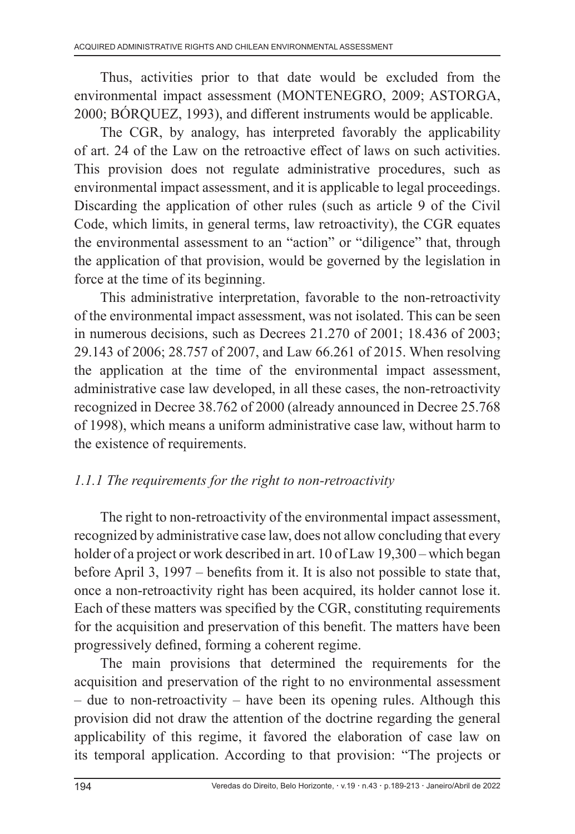Thus, activities prior to that date would be excluded from the environmental impact assessment (MONTENEGRO, 2009; ASTORGA, 2000; BÓRQUEZ, 1993), and different instruments would be applicable.

The CGR, by analogy, has interpreted favorably the applicability of art. 24 of the Law on the retroactive effect of laws on such activities. This provision does not regulate administrative procedures, such as environmental impact assessment, and it is applicable to legal proceedings. Discarding the application of other rules (such as article 9 of the Civil Code, which limits, in general terms, law retroactivity), the CGR equates the environmental assessment to an "action" or "diligence" that, through the application of that provision, would be governed by the legislation in force at the time of its beginning.

This administrative interpretation, favorable to the non-retroactivity of the environmental impact assessment, was not isolated. This can be seen in numerous decisions, such as Decrees 21.270 of 2001; 18.436 of 2003; 29.143 of 2006; 28.757 of 2007, and Law 66.261 of 2015. When resolving the application at the time of the environmental impact assessment, administrative case law developed, in all these cases, the non-retroactivity recognized in Decree 38.762 of 2000 (already announced in Decree 25.768 of 1998), which means a uniform administrative case law, without harm to the existence of requirements.

# *1.1.1 The requirements for the right to non-retroactivity*

The right to non-retroactivity of the environmental impact assessment, recognized by administrative case law, does not allow concluding that every holder of a project or work described in art. 10 of Law 19,300 – which began before April 3, 1997 – benefits from it. It is also not possible to state that, once a non-retroactivity right has been acquired, its holder cannot lose it. Each of these matters was specified by the CGR, constituting requirements for the acquisition and preservation of this benefit. The matters have been progressively defined, forming a coherent regime.

The main provisions that determined the requirements for the acquisition and preservation of the right to no environmental assessment – due to non-retroactivity – have been its opening rules. Although this provision did not draw the attention of the doctrine regarding the general applicability of this regime, it favored the elaboration of case law on its temporal application. According to that provision: "The projects or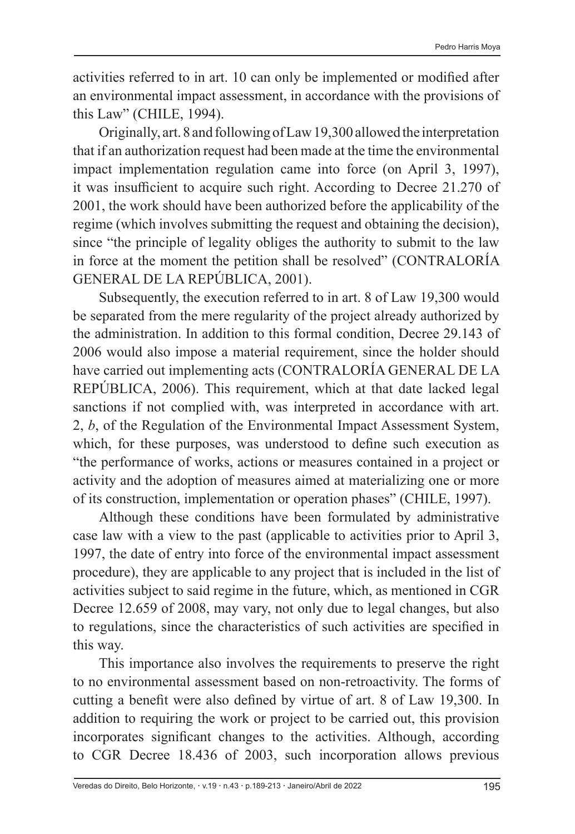activities referred to in art. 10 can only be implemented or modified after an environmental impact assessment, in accordance with the provisions of this Law" (CHILE, 1994).

Originally, art. 8 and following of Law 19,300 allowed the interpretation that if an authorization request had been made at the time the environmental impact implementation regulation came into force (on April 3, 1997), it was insufficient to acquire such right. According to Decree 21.270 of 2001, the work should have been authorized before the applicability of the regime (which involves submitting the request and obtaining the decision), since "the principle of legality obliges the authority to submit to the law in force at the moment the petition shall be resolved" (CONTRALORÍA GENERAL DE LA REPÚBLICA, 2001).

Subsequently, the execution referred to in art. 8 of Law 19,300 would be separated from the mere regularity of the project already authorized by the administration. In addition to this formal condition, Decree 29.143 of 2006 would also impose a material requirement, since the holder should have carried out implementing acts (CONTRALORÍA GENERAL DE LA REPÚBLICA, 2006). This requirement, which at that date lacked legal sanctions if not complied with, was interpreted in accordance with art. 2, *b*, of the Regulation of the Environmental Impact Assessment System, which, for these purposes, was understood to define such execution as "the performance of works, actions or measures contained in a project or activity and the adoption of measures aimed at materializing one or more of its construction, implementation or operation phases" (CHILE, 1997).

Although these conditions have been formulated by administrative case law with a view to the past (applicable to activities prior to April 3, 1997, the date of entry into force of the environmental impact assessment procedure), they are applicable to any project that is included in the list of activities subject to said regime in the future, which, as mentioned in CGR Decree 12.659 of 2008, may vary, not only due to legal changes, but also to regulations, since the characteristics of such activities are specified in this way.

This importance also involves the requirements to preserve the right to no environmental assessment based on non-retroactivity. The forms of cutting a benefit were also defined by virtue of art. 8 of Law 19,300. In addition to requiring the work or project to be carried out, this provision incorporates significant changes to the activities. Although, according to CGR Decree 18.436 of 2003, such incorporation allows previous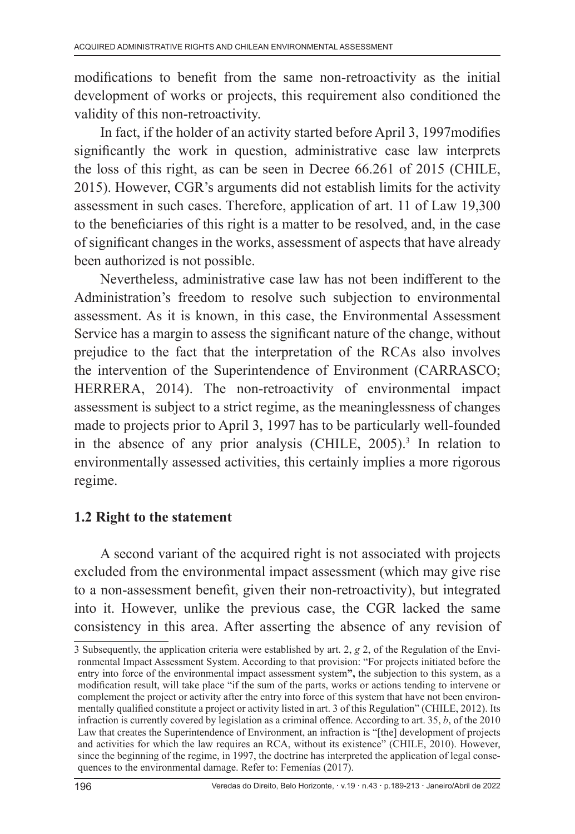modifications to benefit from the same non-retroactivity as the initial development of works or projects, this requirement also conditioned the validity of this non-retroactivity.

In fact, if the holder of an activity started before April 3, 1997modifies significantly the work in question, administrative case law interprets the loss of this right, as can be seen in Decree 66.261 of 2015 (CHILE, 2015). However, CGR's arguments did not establish limits for the activity assessment in such cases. Therefore, application of art. 11 of Law 19,300 to the beneficiaries of this right is a matter to be resolved, and, in the case of significant changes in the works, assessment of aspects that have already been authorized is not possible.

Nevertheless, administrative case law has not been indifferent to the Administration's freedom to resolve such subjection to environmental assessment. As it is known, in this case, the Environmental Assessment Service has a margin to assess the significant nature of the change, without prejudice to the fact that the interpretation of the RCAs also involves the intervention of the Superintendence of Environment (CARRASCO; HERRERA, 2014). The non-retroactivity of environmental impact assessment is subject to a strict regime, as the meaninglessness of changes made to projects prior to April 3, 1997 has to be particularly well-founded in the absence of any prior analysis (CHILE, 2005).<sup>3</sup> In relation to environmentally assessed activities, this certainly implies a more rigorous regime.

# **1.2 Right to the statement**

A second variant of the acquired right is not associated with projects excluded from the environmental impact assessment (which may give rise to a non-assessment benefit, given their non-retroactivity), but integrated into it. However, unlike the previous case, the CGR lacked the same consistency in this area. After asserting the absence of any revision of

<sup>3</sup> Subsequently, the application criteria were established by art. 2, *g* 2, of the Regulation of the Environmental Impact Assessment System. According to that provision: "For projects initiated before the entry into force of the environmental impact assessment system**",** the subjection to this system, as a modification result, will take place "if the sum of the parts, works or actions tending to intervene or complement the project or activity after the entry into force of this system that have not been environmentally qualified constitute a project or activity listed in art. 3 of this Regulation" (CHILE, 2012). Its infraction is currently covered by legislation as a criminal offence. According to art. 35, *b*, of the 2010 Law that creates the Superintendence of Environment, an infraction is "[the] development of projects and activities for which the law requires an RCA, without its existence" (CHILE, 2010). However, since the beginning of the regime, in 1997, the doctrine has interpreted the application of legal consequences to the environmental damage. Refer to: Femenías (2017).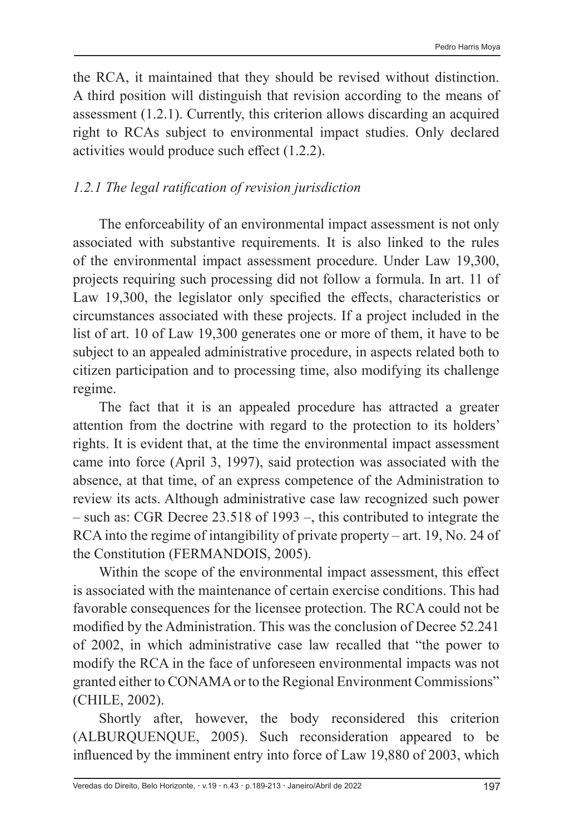the RCA, it maintained that they should be revised without distinction. A third position will distinguish that revision according to the means of assessment (1.2.1). Currently, this criterion allows discarding an acquired right to RCAs subject to environmental impact studies. Only declared activities would produce such effect (1.2.2).

# *1.2.1 The legal ratification of revision jurisdiction*

The enforceability of an environmental impact assessment is not only associated with substantive requirements. It is also linked to the rules of the environmental impact assessment procedure. Under Law 19,300, projects requiring such processing did not follow a formula. In art. 11 of Law 19,300, the legislator only specified the effects, characteristics or circumstances associated with these projects. If a project included in the list of art. 10 of Law 19,300 generates one or more of them, it have to be subject to an appealed administrative procedure, in aspects related both to citizen participation and to processing time, also modifying its challenge regime.

The fact that it is an appealed procedure has attracted a greater attention from the doctrine with regard to the protection to its holders' rights. It is evident that, at the time the environmental impact assessment came into force (April 3, 1997), said protection was associated with the absence, at that time, of an express competence of the Administration to review its acts. Although administrative case law recognized such power – such as: CGR Decree 23.518 of 1993 –, this contributed to integrate the RCA into the regime of intangibility of private property – art. 19, No. 24 of the Constitution (FERMANDOIS, 2005).

Within the scope of the environmental impact assessment, this effect is associated with the maintenance of certain exercise conditions. This had favorable consequences for the licensee protection. The RCA could not be modified by the Administration. This was the conclusion of Decree 52.241 of 2002, in which administrative case law recalled that "the power to modify the RCA in the face of unforeseen environmental impacts was not granted either to CONAMA or to the Regional Environment Commissions" (CHILE, 2002).

Shortly after, however, the body reconsidered this criterion (ALBURQUENQUE, 2005). Such reconsideration appeared to be influenced by the imminent entry into force of Law 19,880 of 2003, which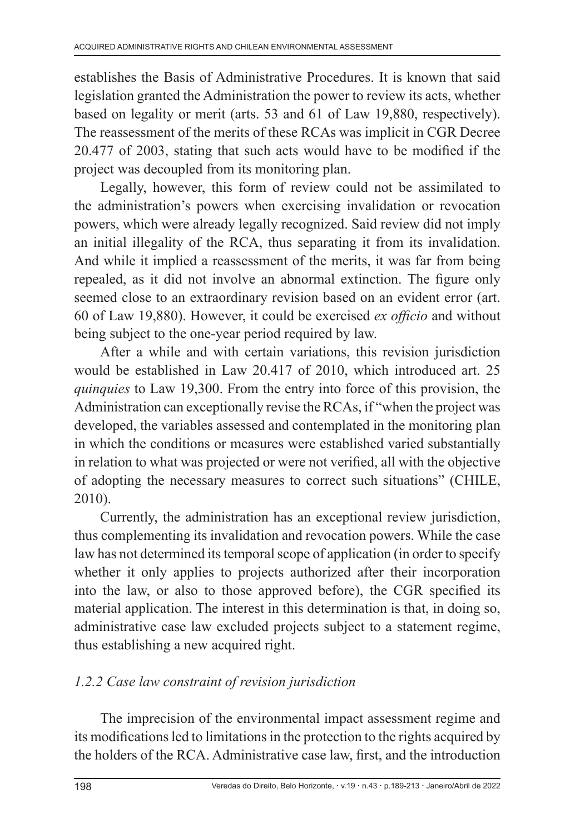establishes the Basis of Administrative Procedures. It is known that said legislation granted the Administration the power to review its acts, whether based on legality or merit (arts. 53 and 61 of Law 19,880, respectively). The reassessment of the merits of these RCAs was implicit in CGR Decree 20.477 of 2003, stating that such acts would have to be modified if the project was decoupled from its monitoring plan.

Legally, however, this form of review could not be assimilated to the administration's powers when exercising invalidation or revocation powers, which were already legally recognized. Said review did not imply an initial illegality of the RCA, thus separating it from its invalidation. And while it implied a reassessment of the merits, it was far from being repealed, as it did not involve an abnormal extinction. The figure only seemed close to an extraordinary revision based on an evident error (art. 60 of Law 19,880). However, it could be exercised *ex officio* and without being subject to the one-year period required by law.

After a while and with certain variations, this revision jurisdiction would be established in Law 20.417 of 2010, which introduced art. 25 *quinquies* to Law 19,300. From the entry into force of this provision, the Administration can exceptionally revise the RCAs, if "when the project was developed, the variables assessed and contemplated in the monitoring plan in which the conditions or measures were established varied substantially in relation to what was projected or were not verified, all with the objective of adopting the necessary measures to correct such situations" (CHILE, 2010).

Currently, the administration has an exceptional review jurisdiction, thus complementing its invalidation and revocation powers. While the case law has not determined its temporal scope of application (in order to specify whether it only applies to projects authorized after their incorporation into the law, or also to those approved before), the CGR specified its material application. The interest in this determination is that, in doing so, administrative case law excluded projects subject to a statement regime, thus establishing a new acquired right.

### *1.2.2 Case law constraint of revision jurisdiction*

The imprecision of the environmental impact assessment regime and its modifications led to limitations in the protection to the rights acquired by the holders of the RCA. Administrative case law, first, and the introduction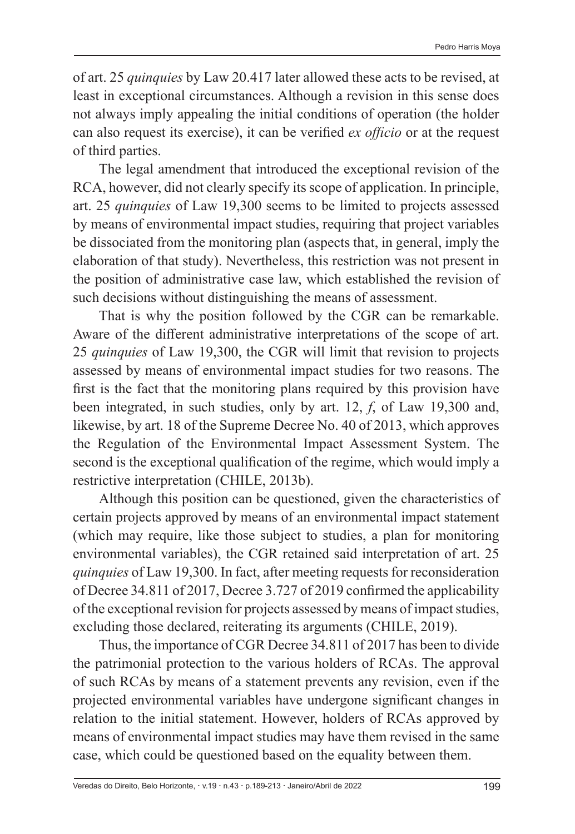of art. 25 *quinquies* by Law 20.417 later allowed these acts to be revised, at least in exceptional circumstances. Although a revision in this sense does not always imply appealing the initial conditions of operation (the holder can also request its exercise), it can be verified *ex officio* or at the request of third parties.

The legal amendment that introduced the exceptional revision of the RCA, however, did not clearly specify its scope of application. In principle, art. 25 *quinquies* of Law 19,300 seems to be limited to projects assessed by means of environmental impact studies, requiring that project variables be dissociated from the monitoring plan (aspects that, in general, imply the elaboration of that study). Nevertheless, this restriction was not present in the position of administrative case law, which established the revision of such decisions without distinguishing the means of assessment.

That is why the position followed by the CGR can be remarkable. Aware of the different administrative interpretations of the scope of art. 25 *quinquies* of Law 19,300, the CGR will limit that revision to projects assessed by means of environmental impact studies for two reasons. The first is the fact that the monitoring plans required by this provision have been integrated, in such studies, only by art. 12, *f*, of Law 19,300 and, likewise, by art. 18 of the Supreme Decree No. 40 of 2013, which approves the Regulation of the Environmental Impact Assessment System. The second is the exceptional qualification of the regime, which would imply a restrictive interpretation (CHILE, 2013b).

Although this position can be questioned, given the characteristics of certain projects approved by means of an environmental impact statement (which may require, like those subject to studies, a plan for monitoring environmental variables), the CGR retained said interpretation of art. 25 *quinquies* of Law 19,300. In fact, after meeting requests for reconsideration of Decree 34.811 of 2017, Decree 3.727 of 2019 confirmed the applicability of the exceptional revision for projects assessed by means of impact studies, excluding those declared, reiterating its arguments (CHILE, 2019).

Thus, the importance of CGR Decree 34.811 of 2017 has been to divide the patrimonial protection to the various holders of RCAs. The approval of such RCAs by means of a statement prevents any revision, even if the projected environmental variables have undergone significant changes in relation to the initial statement. However, holders of RCAs approved by means of environmental impact studies may have them revised in the same case, which could be questioned based on the equality between them.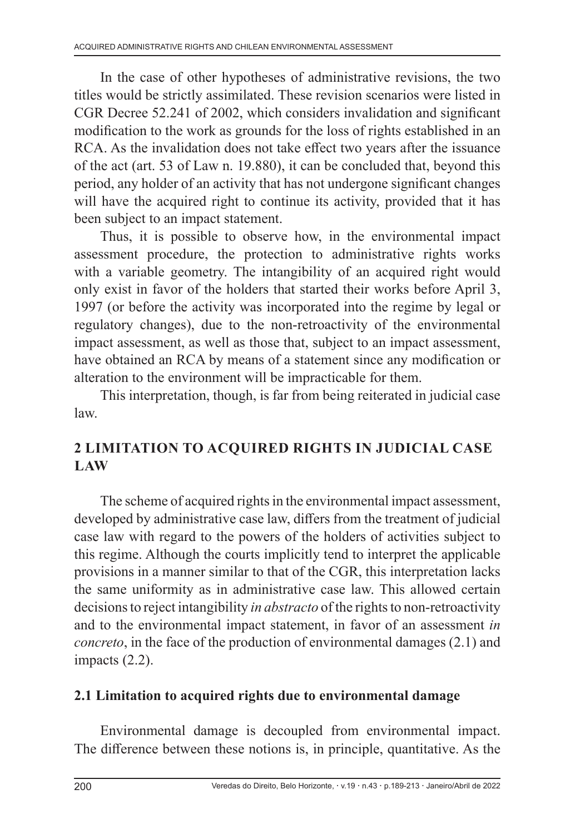In the case of other hypotheses of administrative revisions, the two titles would be strictly assimilated. These revision scenarios were listed in CGR Decree 52.241 of 2002, which considers invalidation and significant modification to the work as grounds for the loss of rights established in an RCA. As the invalidation does not take effect two years after the issuance of the act (art. 53 of Law n. 19.880), it can be concluded that, beyond this period, any holder of an activity that has not undergone significant changes will have the acquired right to continue its activity, provided that it has been subject to an impact statement.

Thus, it is possible to observe how, in the environmental impact assessment procedure, the protection to administrative rights works with a variable geometry. The intangibility of an acquired right would only exist in favor of the holders that started their works before April 3, 1997 (or before the activity was incorporated into the regime by legal or regulatory changes), due to the non-retroactivity of the environmental impact assessment, as well as those that, subject to an impact assessment, have obtained an RCA by means of a statement since any modification or alteration to the environment will be impracticable for them.

This interpretation, though, is far from being reiterated in judicial case law.

# **2 LIMITATION TO ACQUIRED RIGHTS IN JUDICIAL CASE LAW**

The scheme of acquired rights in the environmental impact assessment, developed by administrative case law, differs from the treatment of judicial case law with regard to the powers of the holders of activities subject to this regime. Although the courts implicitly tend to interpret the applicable provisions in a manner similar to that of the CGR, this interpretation lacks the same uniformity as in administrative case law. This allowed certain decisions to reject intangibility *in abstracto* of the rights to non-retroactivity and to the environmental impact statement, in favor of an assessment *in concreto*, in the face of the production of environmental damages (2.1) and impacts (2.2).

# **2.1 Limitation to acquired rights due to environmental damage**

Environmental damage is decoupled from environmental impact. The difference between these notions is, in principle, quantitative. As the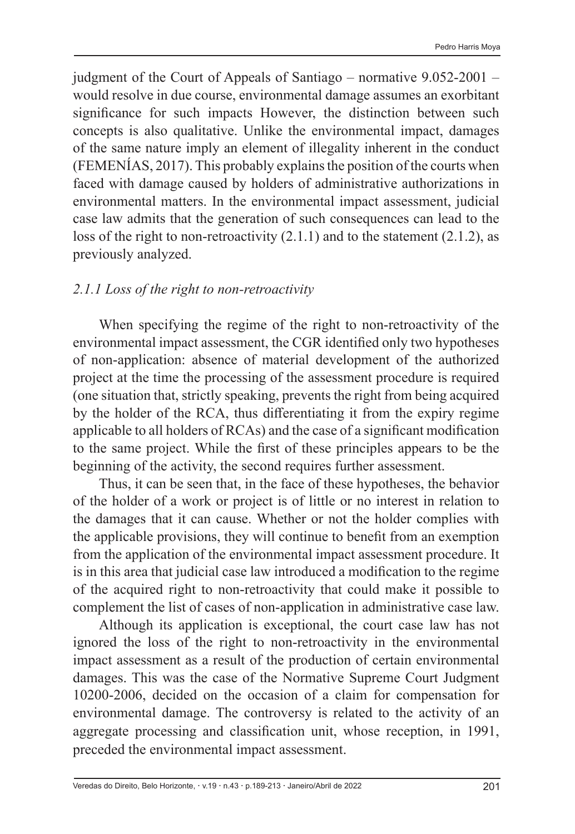judgment of the Court of Appeals of Santiago – normative 9.052-2001 – would resolve in due course, environmental damage assumes an exorbitant significance for such impacts However, the distinction between such concepts is also qualitative. Unlike the environmental impact, damages of the same nature imply an element of illegality inherent in the conduct (FEMENÍAS, 2017). This probably explains the position of the courts when faced with damage caused by holders of administrative authorizations in environmental matters. In the environmental impact assessment, judicial case law admits that the generation of such consequences can lead to the loss of the right to non-retroactivity (2.1.1) and to the statement (2.1.2), as previously analyzed.

#### *2.1.1 Loss of the right to non-retroactivity*

When specifying the regime of the right to non-retroactivity of the environmental impact assessment, the CGR identified only two hypotheses of non-application: absence of material development of the authorized project at the time the processing of the assessment procedure is required (one situation that, strictly speaking, prevents the right from being acquired by the holder of the RCA, thus differentiating it from the expiry regime applicable to all holders of RCAs) and the case of a significant modification to the same project. While the first of these principles appears to be the beginning of the activity, the second requires further assessment.

Thus, it can be seen that, in the face of these hypotheses, the behavior of the holder of a work or project is of little or no interest in relation to the damages that it can cause. Whether or not the holder complies with the applicable provisions, they will continue to benefit from an exemption from the application of the environmental impact assessment procedure. It is in this area that judicial case law introduced a modification to the regime of the acquired right to non-retroactivity that could make it possible to complement the list of cases of non-application in administrative case law.

Although its application is exceptional, the court case law has not ignored the loss of the right to non-retroactivity in the environmental impact assessment as a result of the production of certain environmental damages. This was the case of the Normative Supreme Court Judgment 10200-2006, decided on the occasion of a claim for compensation for environmental damage. The controversy is related to the activity of an aggregate processing and classification unit, whose reception, in 1991, preceded the environmental impact assessment.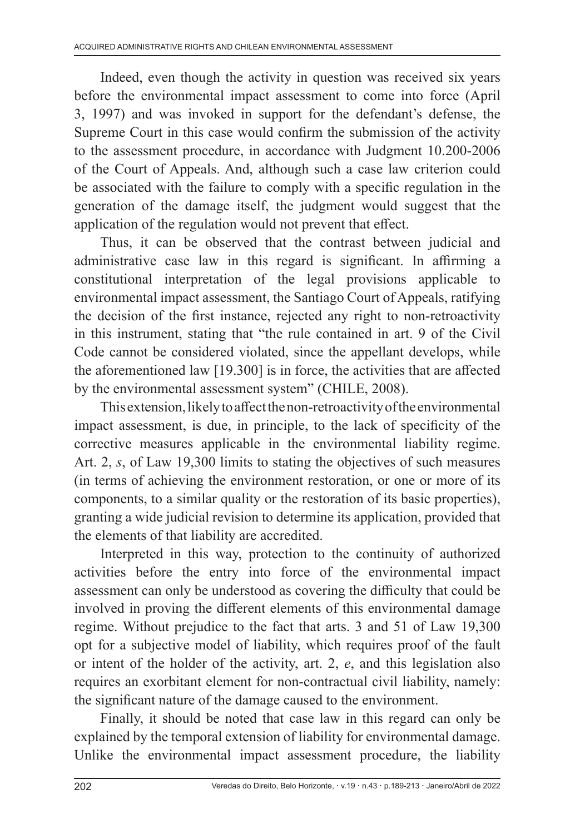Indeed, even though the activity in question was received six years before the environmental impact assessment to come into force (April 3, 1997) and was invoked in support for the defendant's defense, the Supreme Court in this case would confirm the submission of the activity to the assessment procedure, in accordance with Judgment 10.200-2006 of the Court of Appeals. And, although such a case law criterion could be associated with the failure to comply with a specific regulation in the generation of the damage itself, the judgment would suggest that the application of the regulation would not prevent that effect.

Thus, it can be observed that the contrast between judicial and administrative case law in this regard is significant. In affirming a constitutional interpretation of the legal provisions applicable to environmental impact assessment, the Santiago Court of Appeals, ratifying the decision of the first instance, rejected any right to non-retroactivity in this instrument, stating that "the rule contained in art. 9 of the Civil Code cannot be considered violated, since the appellant develops, while the aforementioned law [19.300] is in force, the activities that are affected by the environmental assessment system" (CHILE, 2008).

This extension, likely to affect the non-retroactivity of the environmental impact assessment, is due, in principle, to the lack of specificity of the corrective measures applicable in the environmental liability regime. Art. 2, *s*, of Law 19,300 limits to stating the objectives of such measures (in terms of achieving the environment restoration, or one or more of its components, to a similar quality or the restoration of its basic properties), granting a wide judicial revision to determine its application, provided that the elements of that liability are accredited.

Interpreted in this way, protection to the continuity of authorized activities before the entry into force of the environmental impact assessment can only be understood as covering the difficulty that could be involved in proving the different elements of this environmental damage regime. Without prejudice to the fact that arts. 3 and 51 of Law 19,300 opt for a subjective model of liability, which requires proof of the fault or intent of the holder of the activity, art. 2, *e*, and this legislation also requires an exorbitant element for non-contractual civil liability, namely: the significant nature of the damage caused to the environment.

Finally, it should be noted that case law in this regard can only be explained by the temporal extension of liability for environmental damage. Unlike the environmental impact assessment procedure, the liability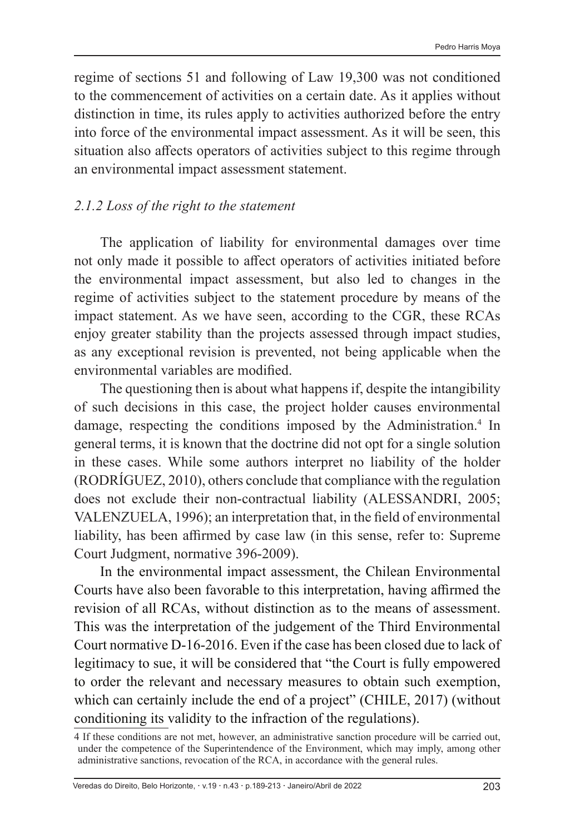regime of sections 51 and following of Law 19,300 was not conditioned to the commencement of activities on a certain date. As it applies without distinction in time, its rules apply to activities authorized before the entry into force of the environmental impact assessment. As it will be seen, this situation also affects operators of activities subject to this regime through an environmental impact assessment statement.

#### *2.1.2 Loss of the right to the statement*

The application of liability for environmental damages over time not only made it possible to affect operators of activities initiated before the environmental impact assessment, but also led to changes in the regime of activities subject to the statement procedure by means of the impact statement. As we have seen, according to the CGR, these RCAs enjoy greater stability than the projects assessed through impact studies, as any exceptional revision is prevented, not being applicable when the environmental variables are modified.

The questioning then is about what happens if, despite the intangibility of such decisions in this case, the project holder causes environmental damage, respecting the conditions imposed by the Administration.<sup>4</sup> In general terms, it is known that the doctrine did not opt for a single solution in these cases. While some authors interpret no liability of the holder (RODRÍGUEZ, 2010), others conclude that compliance with the regulation does not exclude their non-contractual liability (ALESSANDRI, 2005; VALENZUELA, 1996); an interpretation that, in the field of environmental liability, has been affirmed by case law (in this sense, refer to: Supreme Court Judgment, normative 396-2009).

In the environmental impact assessment, the Chilean Environmental Courts have also been favorable to this interpretation, having affirmed the revision of all RCAs, without distinction as to the means of assessment. This was the interpretation of the judgement of the Third Environmental Court normative D-16-2016. Even if the case has been closed due to lack of legitimacy to sue, it will be considered that "the Court is fully empowered to order the relevant and necessary measures to obtain such exemption, which can certainly include the end of a project" (CHILE, 2017) (without conditioning its validity to the infraction of the regulations).

<sup>4</sup> If these conditions are not met, however, an administrative sanction procedure will be carried out, under the competence of the Superintendence of the Environment, which may imply, among other administrative sanctions, revocation of the RCA, in accordance with the general rules.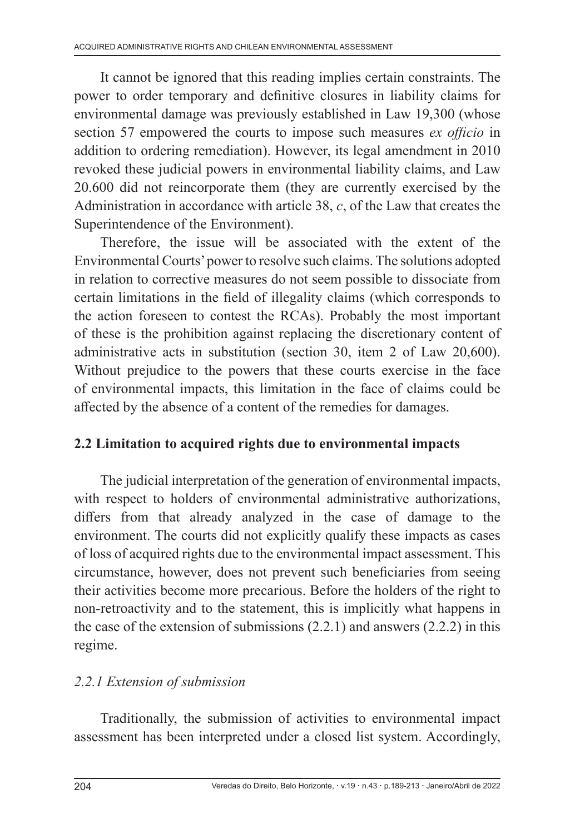It cannot be ignored that this reading implies certain constraints. The power to order temporary and definitive closures in liability claims for environmental damage was previously established in Law 19,300 (whose section 57 empowered the courts to impose such measures *ex officio* in addition to ordering remediation). However, its legal amendment in 2010 revoked these judicial powers in environmental liability claims, and Law 20.600 did not reincorporate them (they are currently exercised by the Administration in accordance with article 38, *c*, of the Law that creates the Superintendence of the Environment).

Therefore, the issue will be associated with the extent of the Environmental Courts' power to resolve such claims. The solutions adopted in relation to corrective measures do not seem possible to dissociate from certain limitations in the field of illegality claims (which corresponds to the action foreseen to contest the RCAs). Probably the most important of these is the prohibition against replacing the discretionary content of administrative acts in substitution (section 30, item 2 of Law 20,600). Without prejudice to the powers that these courts exercise in the face of environmental impacts, this limitation in the face of claims could be affected by the absence of a content of the remedies for damages.

### **2.2 Limitation to acquired rights due to environmental impacts**

The judicial interpretation of the generation of environmental impacts, with respect to holders of environmental administrative authorizations, differs from that already analyzed in the case of damage to the environment. The courts did not explicitly qualify these impacts as cases of loss of acquired rights due to the environmental impact assessment. This circumstance, however, does not prevent such beneficiaries from seeing their activities become more precarious. Before the holders of the right to non-retroactivity and to the statement, this is implicitly what happens in the case of the extension of submissions  $(2.2.1)$  and answers  $(2.2.2)$  in this regime.

### *2.2.1 Extension of submission*

Traditionally, the submission of activities to environmental impact assessment has been interpreted under a closed list system. Accordingly,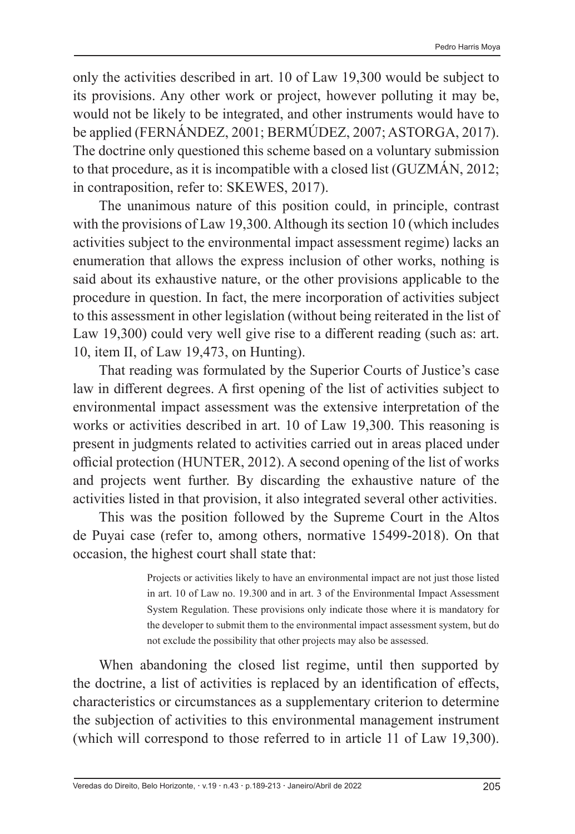only the activities described in art. 10 of Law 19,300 would be subject to its provisions. Any other work or project, however polluting it may be, would not be likely to be integrated, and other instruments would have to be applied (FERNÁNDEZ, 2001; BERMÚDEZ, 2007; ASTORGA, 2017). The doctrine only questioned this scheme based on a voluntary submission to that procedure, as it is incompatible with a closed list (GUZMÁN, 2012; in contraposition, refer to: SKEWES, 2017).

The unanimous nature of this position could, in principle, contrast with the provisions of Law 19,300. Although its section 10 (which includes activities subject to the environmental impact assessment regime) lacks an enumeration that allows the express inclusion of other works, nothing is said about its exhaustive nature, or the other provisions applicable to the procedure in question. In fact, the mere incorporation of activities subject to this assessment in other legislation (without being reiterated in the list of Law 19,300) could very well give rise to a different reading (such as: art. 10, item II, of Law 19,473, on Hunting).

That reading was formulated by the Superior Courts of Justice's case law in different degrees. A first opening of the list of activities subject to environmental impact assessment was the extensive interpretation of the works or activities described in art. 10 of Law 19,300. This reasoning is present in judgments related to activities carried out in areas placed under official protection (HUNTER, 2012). A second opening of the list of works and projects went further. By discarding the exhaustive nature of the activities listed in that provision, it also integrated several other activities.

This was the position followed by the Supreme Court in the Altos de Puyai case (refer to, among others, normative 15499-2018). On that occasion, the highest court shall state that:

> Projects or activities likely to have an environmental impact are not just those listed in art. 10 of Law no. 19.300 and in art. 3 of the Environmental Impact Assessment System Regulation. These provisions only indicate those where it is mandatory for the developer to submit them to the environmental impact assessment system, but do not exclude the possibility that other projects may also be assessed.

When abandoning the closed list regime, until then supported by the doctrine, a list of activities is replaced by an identification of effects, characteristics or circumstances as a supplementary criterion to determine the subjection of activities to this environmental management instrument (which will correspond to those referred to in article 11 of Law 19,300).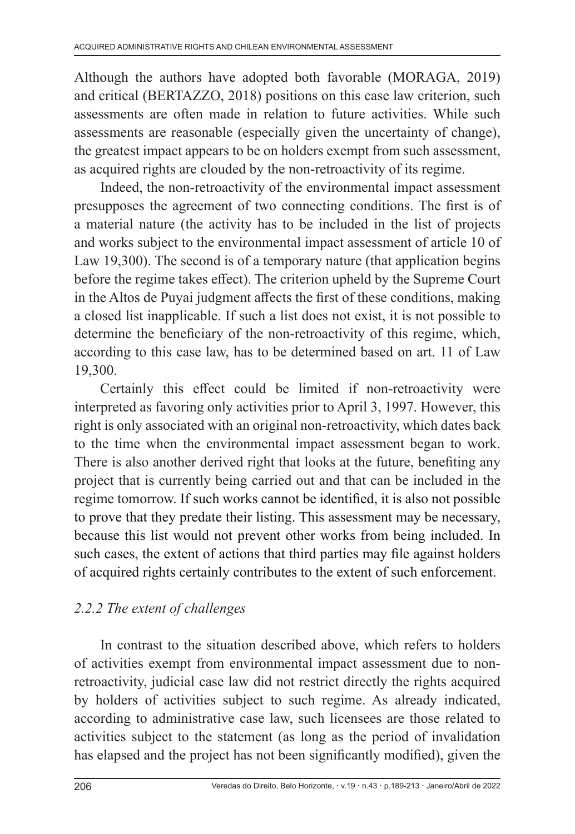Although the authors have adopted both favorable (MORAGA, 2019) and critical (BERTAZZO, 2018) positions on this case law criterion, such assessments are often made in relation to future activities. While such assessments are reasonable (especially given the uncertainty of change), the greatest impact appears to be on holders exempt from such assessment, as acquired rights are clouded by the non-retroactivity of its regime.

Indeed, the non-retroactivity of the environmental impact assessment presupposes the agreement of two connecting conditions. The first is of a material nature (the activity has to be included in the list of projects and works subject to the environmental impact assessment of article 10 of Law 19,300). The second is of a temporary nature (that application begins before the regime takes effect). The criterion upheld by the Supreme Court in the Altos de Puyai judgment affects the first of these conditions, making a closed list inapplicable. If such a list does not exist, it is not possible to determine the beneficiary of the non-retroactivity of this regime, which, according to this case law, has to be determined based on art. 11 of Law 19,300.

Certainly this effect could be limited if non-retroactivity were interpreted as favoring only activities prior to April 3, 1997. However, this right is only associated with an original non-retroactivity, which dates back to the time when the environmental impact assessment began to work. There is also another derived right that looks at the future, benefiting any project that is currently being carried out and that can be included in the regime tomorrow. If such works cannot be identified, it is also not possible to prove that they predate their listing. This assessment may be necessary, because this list would not prevent other works from being included. In such cases, the extent of actions that third parties may file against holders of acquired rights certainly contributes to the extent of such enforcement.

# *2.2.2 The extent of challenges*

In contrast to the situation described above, which refers to holders of activities exempt from environmental impact assessment due to nonretroactivity, judicial case law did not restrict directly the rights acquired by holders of activities subject to such regime. As already indicated, according to administrative case law, such licensees are those related to activities subject to the statement (as long as the period of invalidation has elapsed and the project has not been significantly modified), given the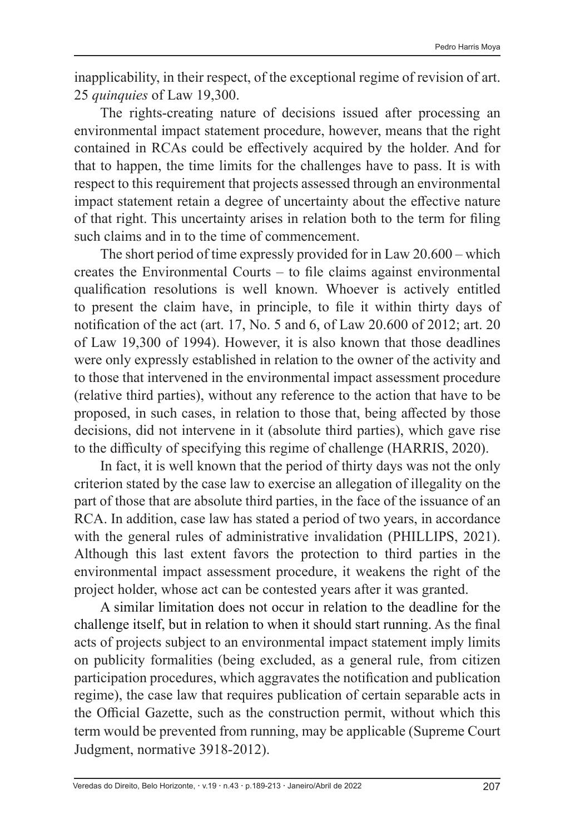inapplicability, in their respect, of the exceptional regime of revision of art. 25 *quinquies* of Law 19,300.

The rights-creating nature of decisions issued after processing an environmental impact statement procedure, however, means that the right contained in RCAs could be effectively acquired by the holder. And for that to happen, the time limits for the challenges have to pass. It is with respect to this requirement that projects assessed through an environmental impact statement retain a degree of uncertainty about the effective nature of that right. This uncertainty arises in relation both to the term for filing such claims and in to the time of commencement.

The short period of time expressly provided for in Law 20.600 – which creates the Environmental Courts – to file claims against environmental qualification resolutions is well known. Whoever is actively entitled to present the claim have, in principle, to file it within thirty days of notification of the act (art. 17, No. 5 and 6, of Law 20.600 of 2012; art. 20 of Law 19,300 of 1994). However, it is also known that those deadlines were only expressly established in relation to the owner of the activity and to those that intervened in the environmental impact assessment procedure (relative third parties), without any reference to the action that have to be proposed, in such cases, in relation to those that, being affected by those decisions, did not intervene in it (absolute third parties), which gave rise to the difficulty of specifying this regime of challenge (HARRIS, 2020).

In fact, it is well known that the period of thirty days was not the only criterion stated by the case law to exercise an allegation of illegality on the part of those that are absolute third parties, in the face of the issuance of an RCA. In addition, case law has stated a period of two years, in accordance with the general rules of administrative invalidation (PHILLIPS, 2021). Although this last extent favors the protection to third parties in the environmental impact assessment procedure, it weakens the right of the project holder, whose act can be contested years after it was granted.

A similar limitation does not occur in relation to the deadline for the challenge itself, but in relation to when it should start running. As the final acts of projects subject to an environmental impact statement imply limits on publicity formalities (being excluded, as a general rule, from citizen participation procedures, which aggravates the notification and publication regime), the case law that requires publication of certain separable acts in the Official Gazette, such as the construction permit, without which this term would be prevented from running, may be applicable (Supreme Court Judgment, normative 3918-2012).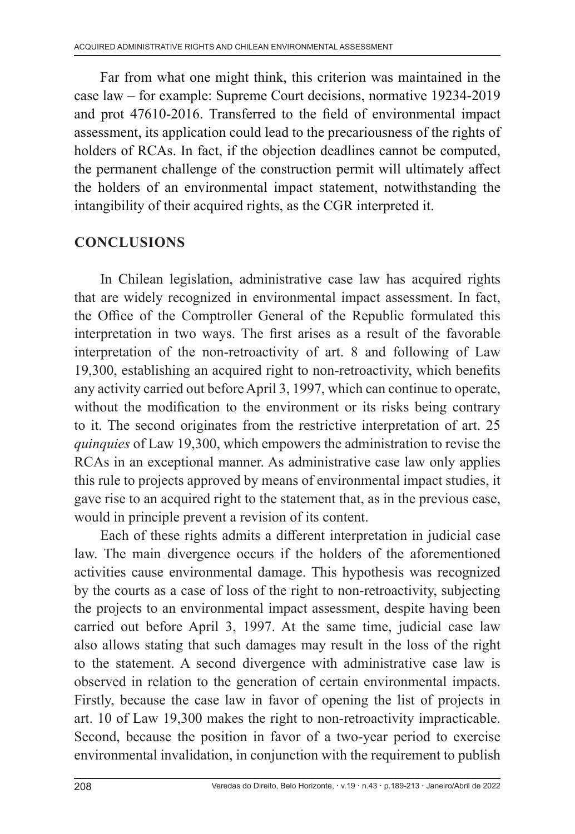Far from what one might think, this criterion was maintained in the case law – for example: Supreme Court decisions, normative 19234-2019 and prot 47610-2016. Transferred to the field of environmental impact assessment, its application could lead to the precariousness of the rights of holders of RCAs. In fact, if the objection deadlines cannot be computed, the permanent challenge of the construction permit will ultimately affect the holders of an environmental impact statement, notwithstanding the intangibility of their acquired rights, as the CGR interpreted it.

# **CONCLUSIONS**

In Chilean legislation, administrative case law has acquired rights that are widely recognized in environmental impact assessment. In fact, the Office of the Comptroller General of the Republic formulated this interpretation in two ways. The first arises as a result of the favorable interpretation of the non-retroactivity of art. 8 and following of Law 19,300, establishing an acquired right to non-retroactivity, which benefits any activity carried out before April 3, 1997, which can continue to operate, without the modification to the environment or its risks being contrary to it. The second originates from the restrictive interpretation of art. 25 *quinquies* of Law 19,300, which empowers the administration to revise the RCAs in an exceptional manner. As administrative case law only applies this rule to projects approved by means of environmental impact studies, it gave rise to an acquired right to the statement that, as in the previous case, would in principle prevent a revision of its content.

Each of these rights admits a different interpretation in judicial case law. The main divergence occurs if the holders of the aforementioned activities cause environmental damage. This hypothesis was recognized by the courts as a case of loss of the right to non-retroactivity, subjecting the projects to an environmental impact assessment, despite having been carried out before April 3, 1997. At the same time, judicial case law also allows stating that such damages may result in the loss of the right to the statement. A second divergence with administrative case law is observed in relation to the generation of certain environmental impacts. Firstly, because the case law in favor of opening the list of projects in art. 10 of Law 19,300 makes the right to non-retroactivity impracticable. Second, because the position in favor of a two-year period to exercise environmental invalidation, in conjunction with the requirement to publish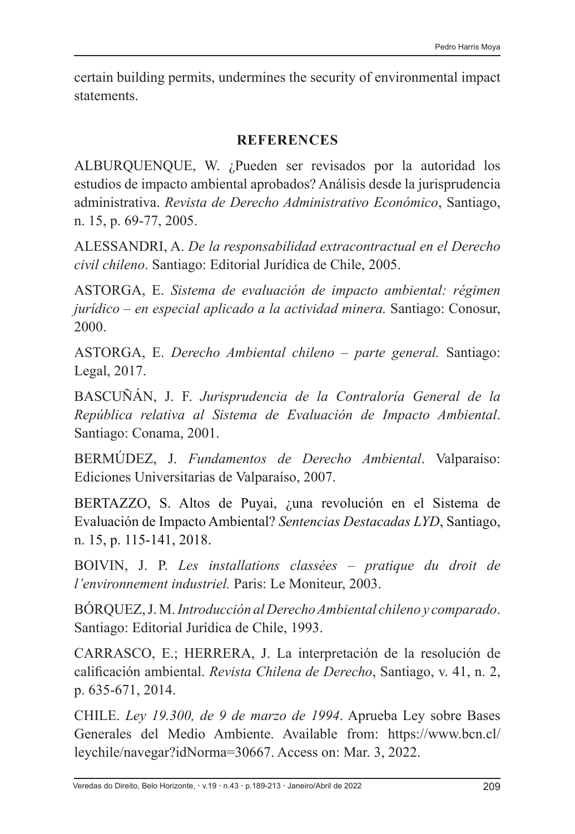certain building permits, undermines the security of environmental impact statements.

#### **REFERENCES**

ALBURQUENQUE, W. ¿Pueden ser revisados por la autoridad los estudios de impacto ambiental aprobados? Análisis desde la jurisprudencia administrativa. *Revista de Derecho Administrativo Económico*, Santiago, n. 15, p. 69-77, 2005.

ALESSANDRI, A. *De la responsabilidad extracontractual en el Derecho civil chileno*. Santiago: Editorial Jurídica de Chile, 2005.

ASTORGA, E. *Sistema de evaluación de impacto ambiental: régimen jurídico – en especial aplicado a la actividad minera.* Santiago: Conosur, 2000.

ASTORGA, E. *Derecho Ambiental chileno – parte general.* Santiago: Legal, 2017.

BASCUÑÁN, J. F. *Jurisprudencia de la Contraloría General de la República relativa al Sistema de Evaluación de Impacto Ambiental*. Santiago: Conama, 2001.

BERMÚDEZ, J. *Fundamentos de Derecho Ambiental*. Valparaíso: Ediciones Universitarias de Valparaíso, 2007.

BERTAZZO, S. Altos de Puyai, ¿una revolución en el Sistema de Evaluación de Impacto Ambiental? *Sentencias Destacadas LYD*, Santiago, n. 15, p. 115-141, 2018.

BOIVIN, J. P. *Les installations classées – pratique du droit de l'environnement industriel.* Paris: Le Moniteur, 2003.

BÓRQUEZ, J. M. *Introducción al Derecho Ambiental chileno y comparado*. Santiago: Editorial Jurídica de Chile, 1993.

CARRASCO, E.; HERRERA, J. La interpretación de la resolución de calificación ambiental. *Revista Chilena de Derecho*, Santiago, v. 41, n. 2, p. 635-671, 2014.

CHILE. *Ley 19.300, de 9 de marzo de 1994*. Aprueba Ley sobre Bases Generales del Medio Ambiente. Available from: https://www.bcn.cl/ leychile/navegar?idNorma=30667. Access on: Mar. 3, 2022.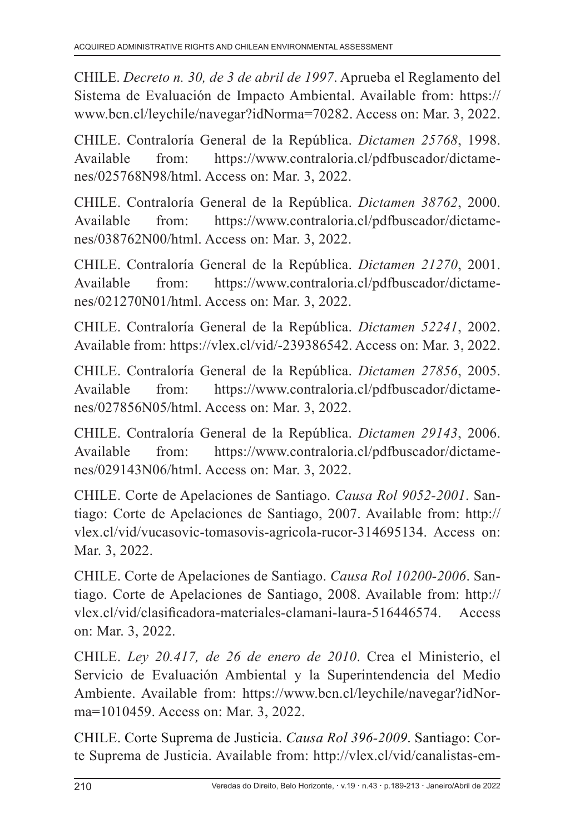CHILE. *Decreto n. 30, de 3 de abril de 1997*. Aprueba el Reglamento del Sistema de Evaluación de Impacto Ambiental. Available from: https:// www.bcn.cl/leychile/navegar?idNorma=70282. Access on: Mar. 3, 2022.

CHILE. Contraloría General de la República. *Dictamen 25768*, 1998. Available from: https://www.contraloria.cl/pdfbuscador/dictamenes/025768N98/html. Access on: Mar. 3, 2022.

CHILE. Contraloría General de la República. *Dictamen 38762*, 2000. Available from: https://www.contraloria.cl/pdfbuscador/dictamenes/038762N00/html. Access on: Mar. 3, 2022.

CHILE. Contraloría General de la República. *Dictamen 21270*, 2001. Available from: https://www.contraloria.cl/pdfbuscador/dictamenes/021270N01/html. Access on: Mar. 3, 2022.

CHILE. Contraloría General de la República. *Dictamen 52241*, 2002. Available from: https://vlex.cl/vid/-239386542. Access on: Mar. 3, 2022.

CHILE. Contraloría General de la República. *Dictamen 27856*, 2005. Available from: https://www.contraloria.cl/pdfbuscador/dictamenes/027856N05/html. Access on: Mar. 3, 2022.

CHILE. Contraloría General de la República. *Dictamen 29143*, 2006. Available from: https://www.contraloria.cl/pdfbuscador/dictamenes/029143N06/html. Access on: Mar. 3, 2022.

CHILE. Corte de Apelaciones de Santiago. *Causa Rol 9052-2001*. Santiago: Corte de Apelaciones de Santiago, 2007. Available from: http:// vlex.cl/vid/vucasovic-tomasovis-agricola-rucor-314695134. Access on: Mar. 3, 2022.

CHILE. Corte de Apelaciones de Santiago. *Causa Rol 10200-2006*. Santiago. Corte de Apelaciones de Santiago, 2008. Available from: http:// vlex.cl/vid/clasificadora-materiales-clamani-laura-516446574. Access on: Mar. 3, 2022.

CHILE. *Ley 20.417, de 26 de enero de 2010*. Crea el Ministerio, el Servicio de Evaluación Ambiental y la Superintendencia del Medio Ambiente. Available from: https://www.bcn.cl/leychile/navegar?idNorma=1010459. Access on: Mar. 3, 2022.

CHILE. Corte Suprema de Justicia. *Causa Rol 396-2009*. Santiago: Corte Suprema de Justicia. Available from: http://vlex.cl/vid/canalistas-em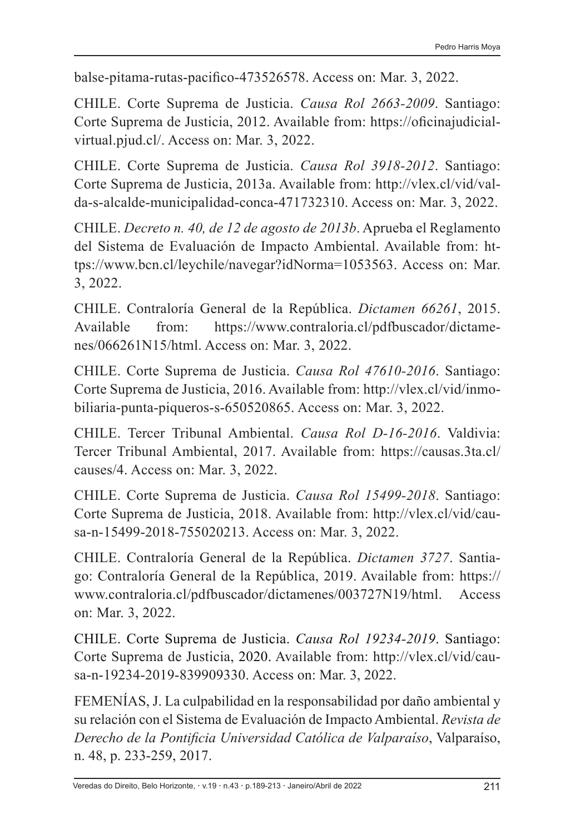balse-pitama-rutas-pacifico-473526578. Access on: Mar. 3, 2022.

CHILE. Corte Suprema de Justicia. *Causa Rol 2663-2009*. Santiago: Corte Suprema de Justicia, 2012. Available from: https://oficinajudicialvirtual.pjud.cl/. Access on: Mar. 3, 2022.

CHILE. Corte Suprema de Justicia. *Causa Rol 3918-2012*. Santiago: Corte Suprema de Justicia, 2013a. Available from: http://vlex.cl/vid/valda-s-alcalde-municipalidad-conca-471732310. Access on: Mar. 3, 2022.

CHILE. *Decreto n. 40, de 12 de agosto de 2013b*. Aprueba el Reglamento del Sistema de Evaluación de Impacto Ambiental. Available from: https://www.bcn.cl/leychile/navegar?idNorma=1053563. Access on: Mar. 3, 2022.

CHILE. Contraloría General de la República. *Dictamen 66261*, 2015. Available from: https://www.contraloria.cl/pdfbuscador/dictamenes/066261N15/html. Access on: Mar. 3, 2022.

CHILE. Corte Suprema de Justicia. *Causa Rol 47610-2016*. Santiago: Corte Suprema de Justicia, 2016. Available from: http://vlex.cl/vid/inmobiliaria-punta-piqueros-s-650520865. Access on: Mar. 3, 2022.

CHILE. Tercer Tribunal Ambiental. *Causa Rol D-16-2016*. Valdivia: Tercer Tribunal Ambiental, 2017. Available from: https://causas.3ta.cl/ causes/4. Access on: Mar. 3, 2022.

CHILE. Corte Suprema de Justicia. *Causa Rol 15499-2018*. Santiago: Corte Suprema de Justicia, 2018. Available from: http://vlex.cl/vid/causa-n-15499-2018-755020213. Access on: Mar. 3, 2022.

CHILE. Contraloría General de la República. *Dictamen 3727*. Santiago: Contraloría General de la República, 2019. Available from: https:// www.contraloria.cl/pdfbuscador/dictamenes/003727N19/html. Access on: Mar. 3, 2022.

CHILE. Corte Suprema de Justicia. *Causa Rol 19234-2019*. Santiago: Corte Suprema de Justicia, 2020. Available from: http://vlex.cl/vid/causa-n-19234-2019-839909330. Access on: Mar. 3, 2022.

FEMENÍAS, J. La culpabilidad en la responsabilidad por daño ambiental y su relación con el Sistema de Evaluación de Impacto Ambiental. *Revista de Derecho de la Pontificia Universidad Católica de Valparaíso*, Valparaíso, n. 48, p. 233-259, 2017.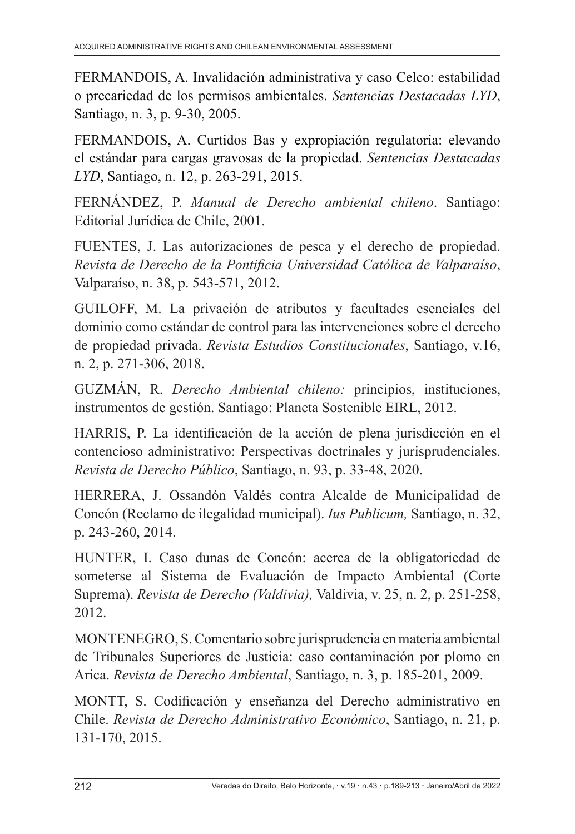FERMANDOIS, A. Invalidación administrativa y caso Celco: estabilidad o precariedad de los permisos ambientales. *Sentencias Destacadas LYD*, Santiago, n. 3, p. 9-30, 2005.

FERMANDOIS, A. Curtidos Bas y expropiación regulatoria: elevando el estándar para cargas gravosas de la propiedad. *Sentencias Destacadas LYD*, Santiago, n. 12, p. 263-291, 2015.

FERNÁNDEZ, P. *Manual de Derecho ambiental chileno*. Santiago: Editorial Jurídica de Chile, 2001.

FUENTES, J. Las autorizaciones de pesca y el derecho de propiedad. *Revista de Derecho de la Pontificia Universidad Católica de Valparaíso*, Valparaíso, n. 38, p. 543-571, 2012.

GUILOFF, M. La privación de atributos y facultades esenciales del dominio como estándar de control para las intervenciones sobre el derecho de propiedad privada. *Revista Estudios Constitucionales*, Santiago, v.16, n. 2, p. 271-306, 2018.

GUZMÁN, R. *Derecho Ambiental chileno:* principios, instituciones, instrumentos de gestión. Santiago: Planeta Sostenible EIRL, 2012.

HARRIS, P. La identificación de la acción de plena jurisdicción en el contencioso administrativo: Perspectivas doctrinales y jurisprudenciales. *Revista de Derecho Público*, Santiago, n. 93, p. 33-48, 2020.

HERRERA, J. Ossandón Valdés contra Alcalde de Municipalidad de Concón (Reclamo de ilegalidad municipal). *Ius Publicum,* Santiago, n. 32, p. 243-260, 2014.

HUNTER, I. Caso dunas de Concón: acerca de la obligatoriedad de someterse al Sistema de Evaluación de Impacto Ambiental (Corte Suprema). *Revista de Derecho (Valdivia),* Valdivia, v. 25, n. 2, p. 251-258, 2012.

MONTENEGRO, S. Comentario sobre jurisprudencia en materia ambiental de Tribunales Superiores de Justicia: caso contaminación por plomo en Arica. *Revista de Derecho Ambiental*, Santiago, n. 3, p. 185-201, 2009.

MONTT, S. Codificación y enseñanza del Derecho administrativo en Chile. *Revista de Derecho Administrativo Económico*, Santiago, n. 21, p. 131-170, 2015.